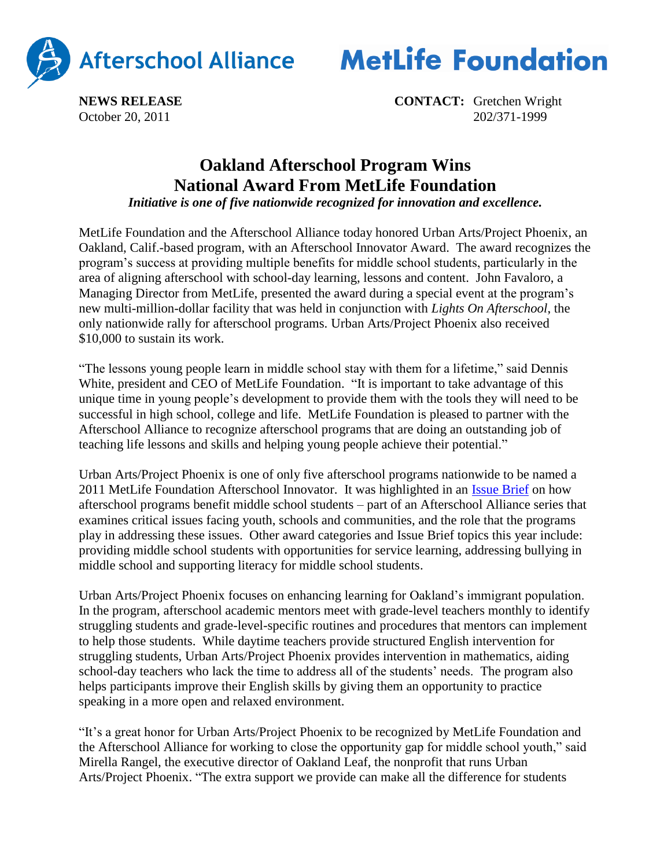

**MetLife Foundation** 

**NEWS RELEASE CONTACT:** Gretchen Wright October 20, 2011 202/371-1999

## **Oakland Afterschool Program Wins National Award From MetLife Foundation**

*Initiative is one of five nationwide recognized for innovation and excellence.*

MetLife Foundation and the Afterschool Alliance today honored Urban Arts/Project Phoenix, an Oakland, Calif.-based program, with an Afterschool Innovator Award. The award recognizes the program's success at providing multiple benefits for middle school students, particularly in the area of aligning afterschool with school-day learning, lessons and content. John Favaloro, a Managing Director from MetLife, presented the award during a special event at the program's new multi-million-dollar facility that was held in conjunction with *Lights On Afterschool*, the only nationwide rally for afterschool programs. Urban Arts/Project Phoenix also received \$10,000 to sustain its work.

"The lessons young people learn in middle school stay with them for a lifetime," said Dennis White, president and CEO of MetLife Foundation. "It is important to take advantage of this unique time in young people's development to provide them with the tools they will need to be successful in high school, college and life. MetLife Foundation is pleased to partner with the Afterschool Alliance to recognize afterschool programs that are doing an outstanding job of teaching life lessons and skills and helping young people achieve their potential."

Urban Arts/Project Phoenix is one of only five afterschool programs nationwide to be named a 2011 MetLife Foundation Afterschool Innovator. It was highlighted in an [Issue Brief](http://www.afterschoolalliance.org/issue_50_schoolDay.cfm) on how afterschool programs benefit middle school students – part of an Afterschool Alliance series that examines critical issues facing youth, schools and communities, and the role that the programs play in addressing these issues. Other award categories and Issue Brief topics this year include: providing middle school students with opportunities for service learning, addressing bullying in middle school and supporting literacy for middle school students.

Urban Arts/Project Phoenix focuses on enhancing learning for Oakland's immigrant population. In the program, afterschool academic mentors meet with grade-level teachers monthly to identify struggling students and grade-level-specific routines and procedures that mentors can implement to help those students. While daytime teachers provide structured English intervention for struggling students, Urban Arts/Project Phoenix provides intervention in mathematics, aiding school-day teachers who lack the time to address all of the students' needs. The program also helps participants improve their English skills by giving them an opportunity to practice speaking in a more open and relaxed environment.

"It's a great honor for Urban Arts/Project Phoenix to be recognized by MetLife Foundation and the Afterschool Alliance for working to close the opportunity gap for middle school youth," said Mirella Rangel, the executive director of Oakland Leaf, the nonprofit that runs Urban Arts/Project Phoenix. "The extra support we provide can make all the difference for students